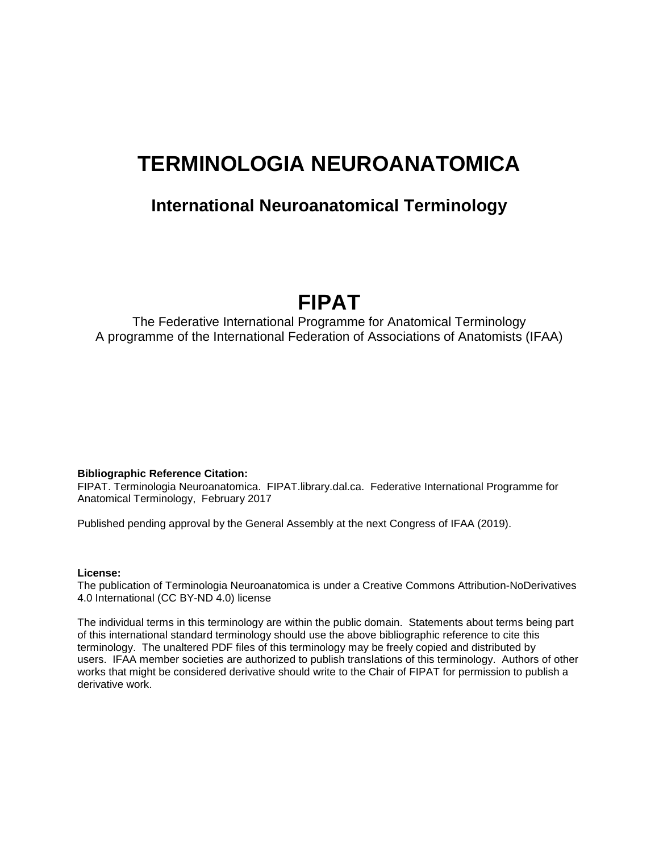# **TERMINOLOGIA NEUROANATOMICA**

## **International Neuroanatomical Terminology**

# **FIPAT**

The Federative International Programme for Anatomical Terminology A programme of the International Federation of Associations of Anatomists (IFAA)

#### **Bibliographic Reference Citation:**

FIPAT. Terminologia Neuroanatomica. FIPAT.library.dal.ca. Federative International Programme for Anatomical Terminology, February 2017

Published pending approval by the General Assembly at the next Congress of IFAA (2019).

#### **License:**

The publication of Terminologia Neuroanatomica is under a Creative Commons Attribution-NoDerivatives 4.0 International (CC BY-ND 4.0) license

The individual terms in this terminology are within the public domain. Statements about terms being part of this international standard terminology should use the above bibliographic reference to cite this terminology. The unaltered PDF files of this terminology may be freely copied and distributed by users. IFAA member societies are authorized to publish translations of this terminology. Authors of other works that might be considered derivative should write to the Chair of FIPAT for permission to publish a derivative work.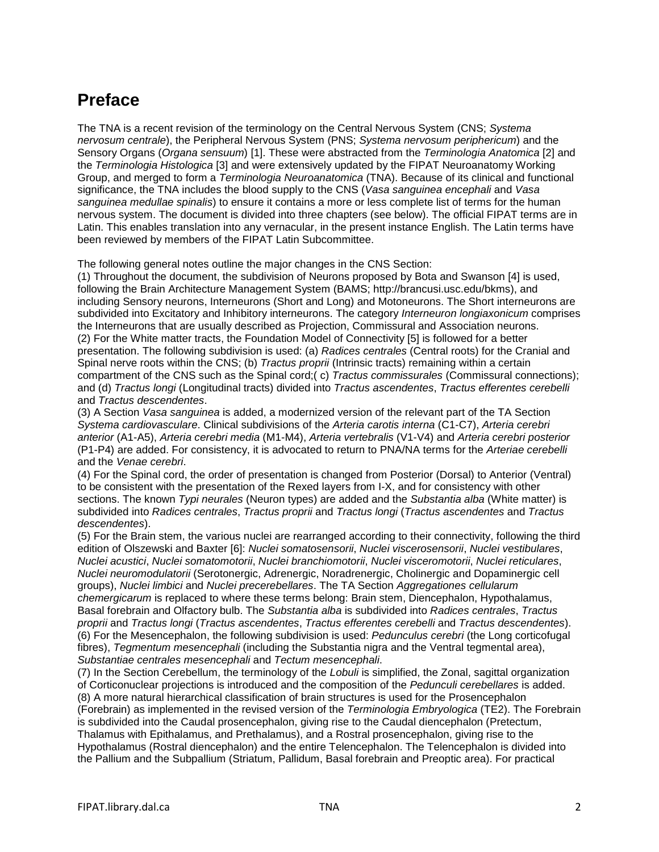## **Preface**

The TNA is a recent revision of the terminology on the Central Nervous System (CNS; *Systema nervosum centrale*), the Peripheral Nervous System (PNS; *Systema nervosum periphericum*) and the Sensory Organs (*Organa sensuum*) [1]. These were abstracted from the *Terminologia Anatomica* [2] and the *Terminologia Histologica* [3] and were extensively updated by the FIPAT Neuroanatomy Working Group, and merged to form a *Terminologia Neuroanatomica* (TNA). Because of its clinical and functional significance, the TNA includes the blood supply to the CNS (*Vasa sanguinea encephali* and *Vasa sanguinea medullae spinalis*) to ensure it contains a more or less complete list of terms for the human nervous system. The document is divided into three chapters (see below). The official FIPAT terms are in Latin. This enables translation into any vernacular, in the present instance English. The Latin terms have been reviewed by members of the FIPAT Latin Subcommittee.

The following general notes outline the major changes in the CNS Section:

(1) Throughout the document, the subdivision of Neurons proposed by Bota and Swanson [4] is used, following the Brain Architecture Management System (BAMS; http://brancusi.usc.edu/bkms), and including Sensory neurons, Interneurons (Short and Long) and Motoneurons. The Short interneurons are subdivided into Excitatory and Inhibitory interneurons. The category *Interneuron longiaxonicum* comprises the Interneurons that are usually described as Projection, Commissural and Association neurons. (2) For the White matter tracts, the Foundation Model of Connectivity [5] is followed for a better presentation. The following subdivision is used: (a) *Radices centrales* (Central roots) for the Cranial and Spinal nerve roots within the CNS; (b) *Tractus proprii* (Intrinsic tracts) remaining within a certain compartment of the CNS such as the Spinal cord;( c) *Tractus commissurales* (Commissural connections); and (d) *Tractus longi* (Longitudinal tracts) divided into *Tractus ascendentes*, *Tractus efferentes cerebelli* and *Tractus descendentes*.

(3) A Section *Vasa sanguinea* is added, a modernized version of the relevant part of the TA Section *Systema cardiovasculare*. Clinical subdivisions of the *Arteria carotis interna* (C1-C7), *Arteria cerebri anterior* (A1-A5), *Arteria cerebri media* (M1-M4), *Arteria vertebralis* (V1-V4) and *Arteria cerebri posterior* (P1-P4) are added. For consistency, it is advocated to return to PNA/NA terms for the *Arteriae cerebelli* and the *Venae cerebri*.

(4) For the Spinal cord, the order of presentation is changed from Posterior (Dorsal) to Anterior (Ventral) to be consistent with the presentation of the Rexed layers from I-X, and for consistency with other sections. The known *Typi neurales* (Neuron types) are added and the *Substantia alba* (White matter) is subdivided into *Radices centrales*, *Tractus proprii* and *Tractus longi* (*Tractus ascendentes* and *Tractus descendentes*).

(5) For the Brain stem, the various nuclei are rearranged according to their connectivity, following the third edition of Olszewski and Baxter [6]: *Nuclei somatosensorii*, *Nuclei viscerosensorii*, *Nuclei vestibulares*, *Nuclei acustici*, *Nuclei somatomotorii*, *Nuclei branchiomotorii*, *Nuclei visceromotorii*, *Nuclei reticulares*, *Nuclei neuromodulatorii* (Serotonergic, Adrenergic, Noradrenergic, Cholinergic and Dopaminergic cell groups), *Nuclei limbici* and *Nuclei precerebellares*. The TA Section *Aggregationes cellularum chemergicarum* is replaced to where these terms belong: Brain stem, Diencephalon, Hypothalamus, Basal forebrain and Olfactory bulb. The *Substantia alba* is subdivided into *Radices centrales*, *Tractus proprii* and *Tractus longi* (*Tractus ascendentes*, *Tractus efferentes cerebelli* and *Tractus descendentes*). (6) For the Mesencephalon, the following subdivision is used: *Pedunculus cerebri* (the Long corticofugal fibres), *Tegmentum mesencephali* (including the Substantia nigra and the Ventral tegmental area), *Substantiae centrales mesencephali* and *Tectum mesencephali*.

(7) In the Section Cerebellum, the terminology of the *Lobuli* is simplified, the Zonal, sagittal organization of Corticonuclear projections is introduced and the composition of the *Pedunculi cerebellares* is added. (8) A more natural hierarchical classification of brain structures is used for the Prosencephalon (Forebrain) as implemented in the revised version of the *Terminologia Embryologica* (TE2). The Forebrain is subdivided into the Caudal prosencephalon, giving rise to the Caudal diencephalon (Pretectum, Thalamus with Epithalamus, and Prethalamus), and a Rostral prosencephalon, giving rise to the Hypothalamus (Rostral diencephalon) and the entire Telencephalon. The Telencephalon is divided into the Pallium and the Subpallium (Striatum, Pallidum, Basal forebrain and Preoptic area). For practical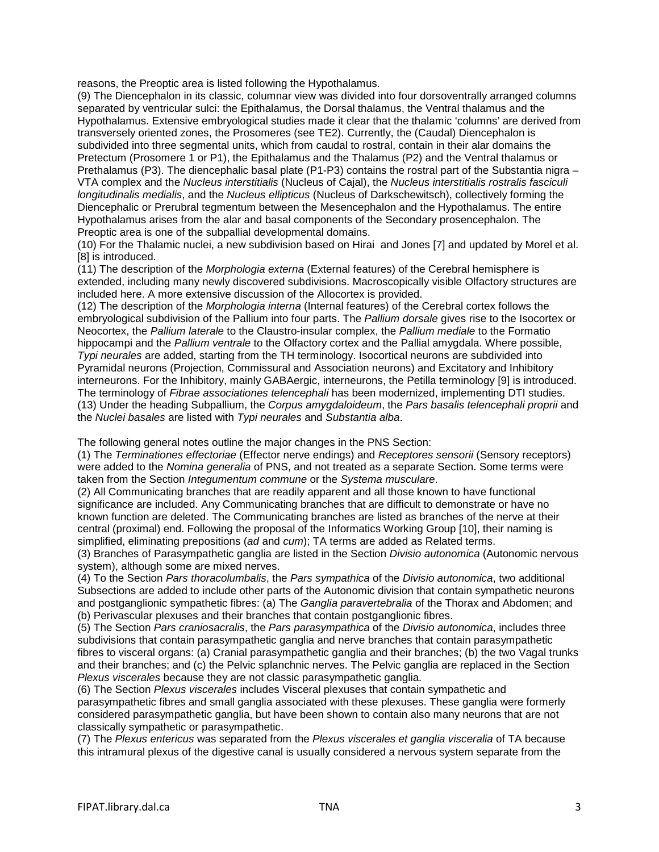reasons, the Preoptic area is listed following the Hypothalamus.

(9) The Diencephalon in its classic, columnar view was divided into four dorsoventrally arranged columns separated by ventricular sulci: the Epithalamus, the Dorsal thalamus, the Ventral thalamus and the Hypothalamus. Extensive embryological studies made it clear that the thalamic 'columns' are derived from transversely oriented zones, the Prosomeres (see TE2). Currently, the (Caudal) Diencephalon is subdivided into three segmental units, which from caudal to rostral, contain in their alar domains the Pretectum (Prosomere 1 or P1), the Epithalamus and the Thalamus (P2) and the Ventral thalamus or Prethalamus (P3). The diencephalic basal plate (P1-P3) contains the rostral part of the Substantia nigra – VTA complex and the *Nucleus interstitialis* (Nucleus of Cajal), the *Nucleus interstitialis rostralis fasciculi longitudinalis medialis*, and the *Nucleus ellipticus* (Nucleus of Darkschewitsch), collectively forming the Diencephalic or Prerubral tegmentum between the Mesencephalon and the Hypothalamus. The entire Hypothalamus arises from the alar and basal components of the Secondary prosencephalon. The Preoptic area is one of the subpallial developmental domains.

(10) For the Thalamic nuclei, a new subdivision based on Hirai and Jones [7] and updated by Morel et al. [8] is introduced.

(11) The description of the *Morphologia externa* (External features) of the Cerebral hemisphere is extended, including many newly discovered subdivisions. Macroscopically visible Olfactory structures are included here. A more extensive discussion of the Allocortex is provided.

(12) The description of the *Morphologia interna* (Internal features) of the Cerebral cortex follows the embryological subdivision of the Pallium into four parts. The *Pallium dorsale* gives rise to the Isocortex or Neocortex, the *Pallium laterale* to the Claustro-insular complex, the *Pallium mediale* to the Formatio hippocampi and the *Pallium ventrale* to the Olfactory cortex and the Pallial amygdala. Where possible, *Typi neurales* are added, starting from the TH terminology. Isocortical neurons are subdivided into Pyramidal neurons (Projection, Commissural and Association neurons) and Excitatory and Inhibitory interneurons. For the Inhibitory, mainly GABAergic, interneurons, the Petilla terminology [9] is introduced. The terminology of *Fibrae associationes telencephali* has been modernized, implementing DTI studies. (13) Under the heading Subpallium, the *Corpus amygdaloideum*, the *Pars basalis telencephali proprii* and the *Nuclei basales* are listed with *Typi neurales* and *Substantia alba*.

The following general notes outline the major changes in the PNS Section:

(1) The *Terminationes effectoriae* (Effector nerve endings) and *Receptores sensorii* (Sensory receptors) were added to the *Nomina generalia* of PNS, and not treated as a separate Section. Some terms were taken from the Section *Integumentum commune* or the *Systema musculare*.

(2) All Communicating branches that are readily apparent and all those known to have functional significance are included. Any Communicating branches that are difficult to demonstrate or have no known function are deleted. The Communicating branches are listed as branches of the nerve at their central (proximal) end. Following the proposal of the Informatics Working Group [10], their naming is simplified, eliminating prepositions (*ad* and *cum*); TA terms are added as Related terms.

(3) Branches of Parasympathetic ganglia are listed in the Section *Divisio autonomica* (Autonomic nervous system), although some are mixed nerves.

(4) To the Section *Pars thoracolumbalis*, the *Pars sympathica* of the *Divisio autonomica*, two additional Subsections are added to include other parts of the Autonomic division that contain sympathetic neurons and postganglionic sympathetic fibres: (a) The *Ganglia paravertebralia* of the Thorax and Abdomen; and (b) Perivascular plexuses and their branches that contain postganglionic fibres.

(5) The Section *Pars craniosacralis*, the *Pars parasympathica* of the *Divisio autonomica*, includes three subdivisions that contain parasympathetic ganglia and nerve branches that contain parasympathetic fibres to visceral organs: (a) Cranial parasympathetic ganglia and their branches; (b) the two Vagal trunks and their branches; and (c) the Pelvic splanchnic nerves. The Pelvic ganglia are replaced in the Section *Plexus viscerales* because they are not classic parasympathetic ganglia.

(6) The Section *Plexus viscerales* includes Visceral plexuses that contain sympathetic and parasympathetic fibres and small ganglia associated with these plexuses. These ganglia were formerly considered parasympathetic ganglia, but have been shown to contain also many neurons that are not classically sympathetic or parasympathetic.

(7) The *Plexus entericus* was separated from the *Plexus viscerales et ganglia visceralia* of TA because this intramural plexus of the digestive canal is usually considered a nervous system separate from the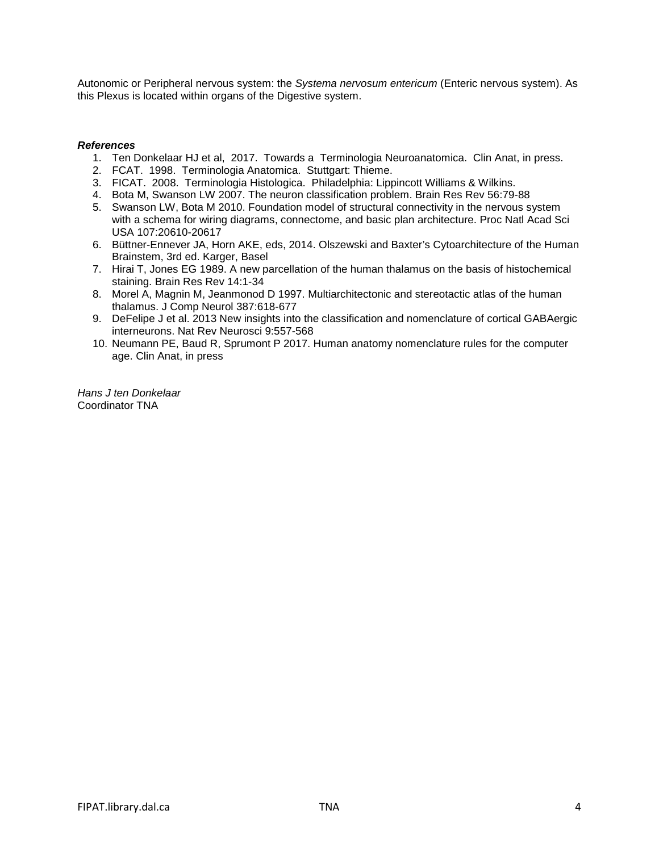Autonomic or Peripheral nervous system: the *Systema nervosum entericum* (Enteric nervous system). As this Plexus is located within organs of the Digestive system.

#### *References*

- 1. Ten Donkelaar HJ et al, 2017. Towards a Terminologia Neuroanatomica. Clin Anat, in press.
- 2. FCAT. 1998. Terminologia Anatomica. Stuttgart: Thieme.
- 3. FICAT. 2008. Terminologia Histologica. Philadelphia: Lippincott Williams & Wilkins.
- 4. Bota M, Swanson LW 2007. The neuron classification problem. Brain Res Rev 56:79-88
- 5. Swanson LW, Bota M 2010. Foundation model of structural connectivity in the nervous system with a schema for wiring diagrams, connectome, and basic plan architecture. Proc Natl Acad Sci USA 107:20610-20617
- 6. Büttner-Ennever JA, Horn AKE, eds, 2014. Olszewski and Baxter's Cytoarchitecture of the Human Brainstem, 3rd ed. Karger, Basel
- 7. Hirai T, Jones EG 1989. A new parcellation of the human thalamus on the basis of histochemical staining. Brain Res Rev 14:1-34
- 8. Morel A, Magnin M, Jeanmonod D 1997. Multiarchitectonic and stereotactic atlas of the human thalamus. J Comp Neurol 387:618-677
- 9. DeFelipe J et al. 2013 New insights into the classification and nomenclature of cortical GABAergic interneurons. Nat Rev Neurosci 9:557-568
- 10. Neumann PE, Baud R, Sprumont P 2017. Human anatomy nomenclature rules for the computer age. Clin Anat, in press

*Hans J ten Donkelaar*  Coordinator TNA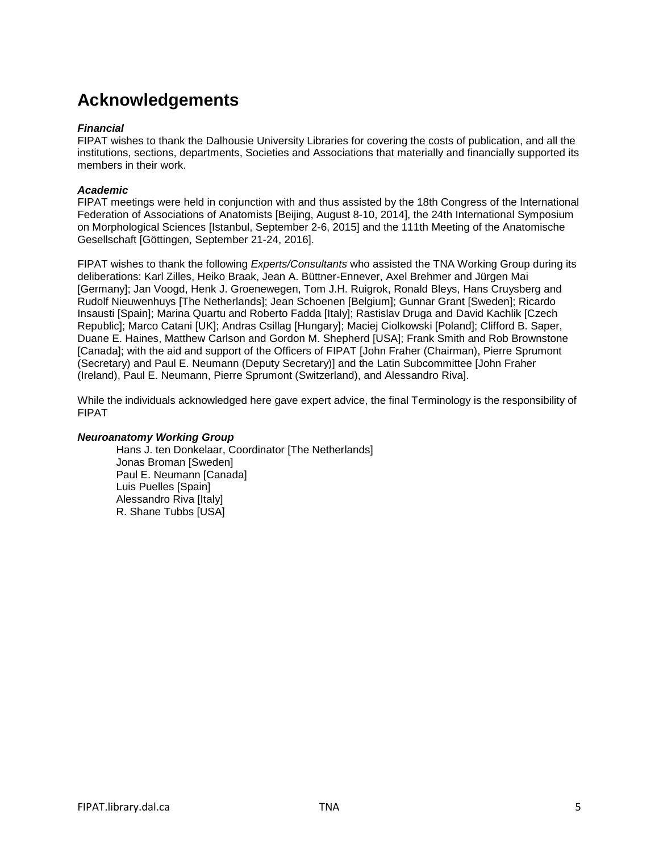## **Acknowledgements**

#### *Financial*

FIPAT wishes to thank the Dalhousie University Libraries for covering the costs of publication, and all the institutions, sections, departments, Societies and Associations that materially and financially supported its members in their work.

### *Academic*

FIPAT meetings were held in conjunction with and thus assisted by the 18th Congress of the International Federation of Associations of Anatomists [Beijing, August 8-10, 2014], the 24th International Symposium on Morphological Sciences [Istanbul, September 2-6, 2015] and the 111th Meeting of the Anatomische Gesellschaft [Göttingen, September 21-24, 2016].

FIPAT wishes to thank the following *Experts/Consultants* who assisted the TNA Working Group during its deliberations: Karl Zilles, Heiko Braak, Jean A. Büttner-Ennever, Axel Brehmer and Jürgen Mai [Germany]; Jan Voogd, Henk J. Groenewegen, Tom J.H. Ruigrok, Ronald Bleys, Hans Cruysberg and Rudolf Nieuwenhuys [The Netherlands]; Jean Schoenen [Belgium]; Gunnar Grant [Sweden]; Ricardo Insausti [Spain]; Marina Quartu and Roberto Fadda [Italy]; Rastislav Druga and David Kachlik [Czech Republic]; Marco Catani [UK]; Andras Csillag [Hungary]; Maciej Ciolkowski [Poland]; Clifford B. Saper, Duane E. Haines, Matthew Carlson and Gordon M. Shepherd [USA]; Frank Smith and Rob Brownstone [Canada]; with the aid and support of the Officers of FIPAT [John Fraher (Chairman), Pierre Sprumont (Secretary) and Paul E. Neumann (Deputy Secretary)] and the Latin Subcommittee [John Fraher (Ireland), Paul E. Neumann, Pierre Sprumont (Switzerland), and Alessandro Riva].

While the individuals acknowledged here gave expert advice, the final Terminology is the responsibility of FIPAT

### *Neuroanatomy Working Group*

Hans J. ten Donkelaar, Coordinator [The Netherlands] Jonas Broman [Sweden] Paul E. Neumann [Canada] Luis Puelles [Spain] Alessandro Riva [Italy] R. Shane Tubbs [USA]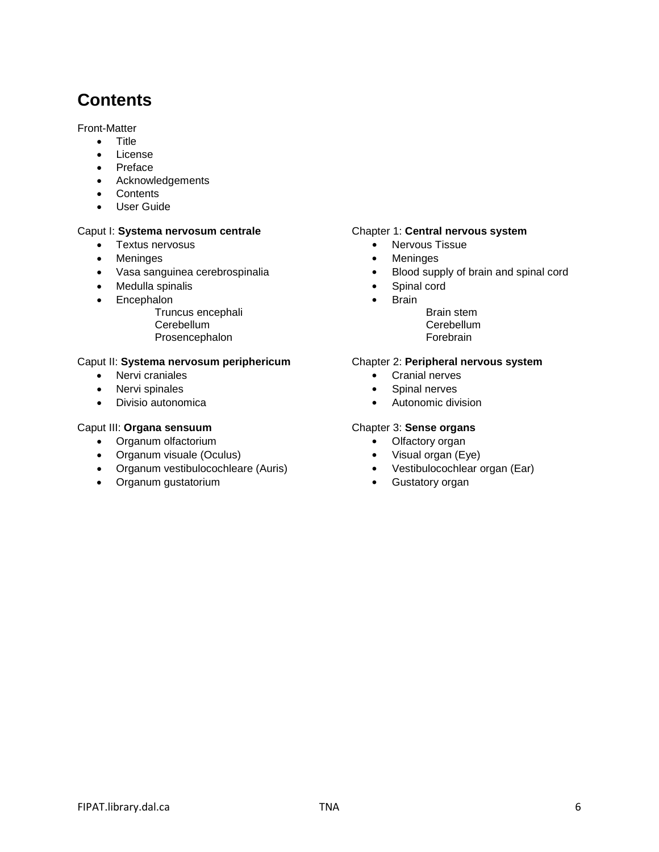## **Contents**

Front-Matter

- Title
- License
- Preface
- Acknowledgements
- Contents
- User Guide

- 
- 
- 
- Medulla spinalis **•** Spinal cord
- Encephalon **•** Brain
	- Truncus encephali and the state of the Brain stem Brain stem Cerebellum Cerebellum Cerebellum Cerebellum<br>
	Prosencephalon Cerebrain Cerebrain Cerebrain Prosencephalon

### Caput II: **Systema nervosum periphericum** Chapter 2: **Peripheral nervous system**

- Nervi craniales **•** Cranial nerves
- 
- 

### Caput III: **Organa sensuum** Chapter 3: **Sense organs**

- Organum olfactorium **•** Olfactory organ
- Organum visuale (Oculus) **•** Visual organ (Eye)
- Organum vestibulocochleare (Auris) **•** Vestibulocochlear organ (Ear)
- Organum gustatorium **•** Gustatory organ

#### Caput I: Systema nervosum centrale **Chapter 1: Central nervous system**

- Textus nervosus **•** Nervous Tissue
- Meninges **•** Meninges
- Vasa sanguinea cerebrospinalia **•** Blood supply of brain and spinal cord
	-
	- -
		-

- 
- Nervi spinales **•** Spinal nerves
- Divisio autonomica **•** Autonomic division

- -
- 
-